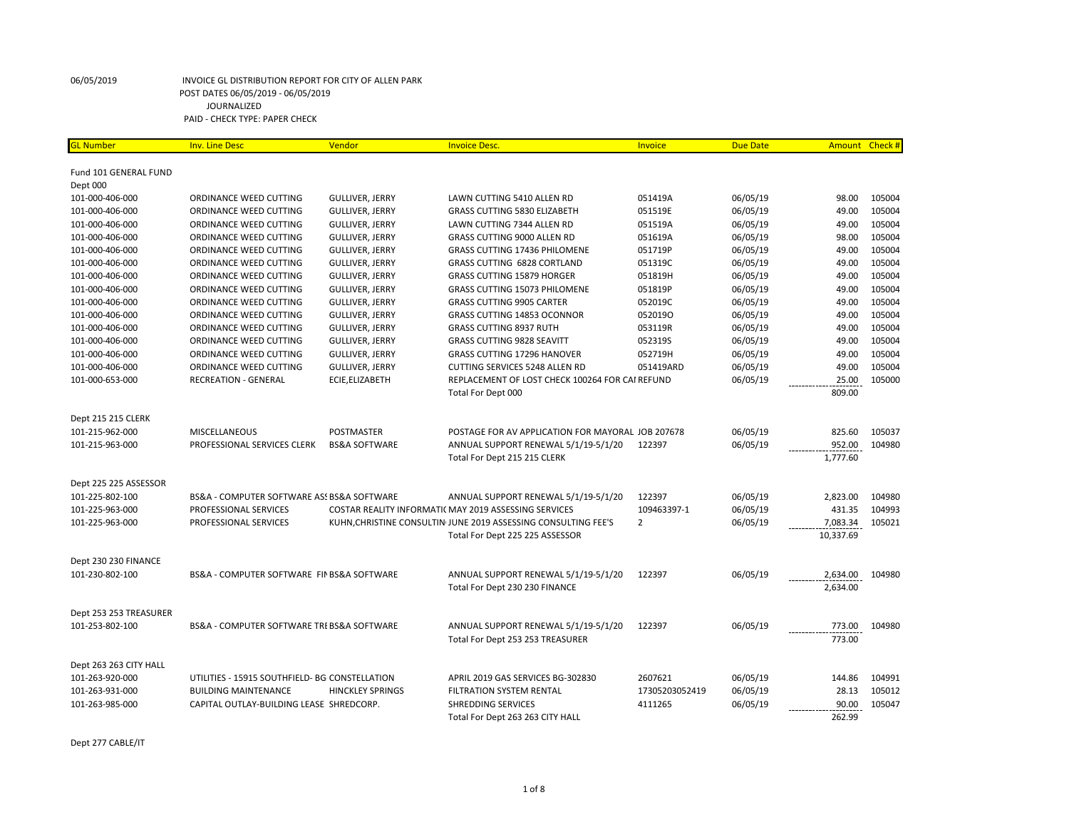| <b>SL Number</b>       | <b>Inv. Line Desc</b>                          | Vendor                   | <b>Invoice Desc.</b>                                           | Invoice        | <b>Due Date</b> | Amount Check # |        |
|------------------------|------------------------------------------------|--------------------------|----------------------------------------------------------------|----------------|-----------------|----------------|--------|
|                        |                                                |                          |                                                                |                |                 |                |        |
| Fund 101 GENERAL FUND  |                                                |                          |                                                                |                |                 |                |        |
| Dept 000               |                                                |                          |                                                                |                |                 |                |        |
| 101-000-406-000        | ORDINANCE WEED CUTTING                         | <b>GULLIVER, JERRY</b>   | LAWN CUTTING 5410 ALLEN RD                                     | 051419A        | 06/05/19        | 98.00          | 105004 |
| 101-000-406-000        | ORDINANCE WEED CUTTING                         | <b>GULLIVER, JERRY</b>   | <b>GRASS CUTTING 5830 ELIZABETH</b>                            | 051519E        | 06/05/19        | 49.00          | 105004 |
| 101-000-406-000        | ORDINANCE WEED CUTTING                         | <b>GULLIVER, JERRY</b>   | LAWN CUTTING 7344 ALLEN RD                                     | 051519A        | 06/05/19        | 49.00          | 105004 |
| 101-000-406-000        | ORDINANCE WEED CUTTING                         | <b>GULLIVER, JERRY</b>   | <b>GRASS CUTTING 9000 ALLEN RD</b>                             | 051619A        | 06/05/19        | 98.00          | 105004 |
| 101-000-406-000        | ORDINANCE WEED CUTTING                         | <b>GULLIVER, JERRY</b>   | <b>GRASS CUTTING 17436 PHILOMENE</b>                           | 051719P        | 06/05/19        | 49.00          | 105004 |
| 101-000-406-000        | ORDINANCE WEED CUTTING                         | <b>GULLIVER, JERRY</b>   | <b>GRASS CUTTING 6828 CORTLAND</b>                             | 051319C        | 06/05/19        | 49.00          | 105004 |
| 101-000-406-000        | ORDINANCE WEED CUTTING                         | <b>GULLIVER, JERRY</b>   | <b>GRASS CUTTING 15879 HORGER</b>                              | 051819H        | 06/05/19        | 49.00          | 105004 |
| 101-000-406-000        | ORDINANCE WEED CUTTING                         | <b>GULLIVER, JERRY</b>   | <b>GRASS CUTTING 15073 PHILOMENE</b>                           | 051819P        | 06/05/19        | 49.00          | 105004 |
| 101-000-406-000        | ORDINANCE WEED CUTTING                         | <b>GULLIVER, JERRY</b>   | <b>GRASS CUTTING 9905 CARTER</b>                               | 052019C        | 06/05/19        | 49.00          | 105004 |
| 101-000-406-000        | ORDINANCE WEED CUTTING                         | <b>GULLIVER, JERRY</b>   | GRASS CUTTING 14853 OCONNOR                                    | 0520190        | 06/05/19        | 49.00          | 105004 |
| 101-000-406-000        | ORDINANCE WEED CUTTING                         | GULLIVER, JERRY          | <b>GRASS CUTTING 8937 RUTH</b>                                 | 053119R        | 06/05/19        | 49.00          | 105004 |
| 101-000-406-000        | ORDINANCE WEED CUTTING                         | <b>GULLIVER, JERRY</b>   | <b>GRASS CUTTING 9828 SEAVITT</b>                              | 0523195        | 06/05/19        | 49.00          | 105004 |
| 101-000-406-000        | ORDINANCE WEED CUTTING                         | <b>GULLIVER, JERRY</b>   | GRASS CUTTING 17296 HANOVER                                    | 052719H        | 06/05/19        | 49.00          | 105004 |
| 101-000-406-000        | ORDINANCE WEED CUTTING                         | <b>GULLIVER, JERRY</b>   | CUTTING SERVICES 5248 ALLEN RD                                 | 051419ARD      | 06/05/19        | 49.00          | 105004 |
| 101-000-653-000        | <b>RECREATION - GENERAL</b>                    | ECIE, ELIZABETH          | REPLACEMENT OF LOST CHECK 100264 FOR CAI REFUND                |                | 06/05/19        | 25.00          | 105000 |
|                        |                                                |                          | Total For Dept 000                                             |                |                 | 809.00         |        |
| Dept 215 215 CLERK     |                                                |                          |                                                                |                |                 |                |        |
| 101-215-962-000        | <b>MISCELLANEOUS</b>                           | POSTMASTER               | POSTAGE FOR AV APPLICATION FOR MAYORAL JOB 207678              |                | 06/05/19        | 825.60         | 105037 |
| 101-215-963-000        | PROFESSIONAL SERVICES CLERK                    | <b>BS&amp;A SOFTWARE</b> | ANNUAL SUPPORT RENEWAL 5/1/19-5/1/20                           | 122397         | 06/05/19        | 952.00         | 104980 |
|                        |                                                |                          | Total For Dept 215 215 CLERK                                   |                |                 | 1,777.60       |        |
|                        |                                                |                          |                                                                |                |                 |                |        |
| Dept 225 225 ASSESSOR  |                                                |                          |                                                                |                |                 |                |        |
| 101-225-802-100        | BS&A - COMPUTER SOFTWARE ASS BS&A SOFTWARE     |                          | ANNUAL SUPPORT RENEWAL 5/1/19-5/1/20                           | 122397         | 06/05/19        | 2,823.00       | 104980 |
| 101-225-963-000        | PROFESSIONAL SERVICES                          |                          | COSTAR REALITY INFORMATIC MAY 2019 ASSESSING SERVICES          | 109463397-1    | 06/05/19        | 431.35         | 104993 |
| 101-225-963-000        | PROFESSIONAL SERVICES                          |                          | KUHN, CHRISTINE CONSULTIN JUNE 2019 ASSESSING CONSULTING FEE'S | $\overline{2}$ | 06/05/19        | 7,083.34       | 105021 |
|                        |                                                |                          | Total For Dept 225 225 ASSESSOR                                |                |                 | 10,337.69      |        |
|                        |                                                |                          |                                                                |                |                 |                |        |
| Dept 230 230 FINANCE   |                                                |                          |                                                                |                |                 |                |        |
| 101-230-802-100        | BS&A - COMPUTER SOFTWARE FIN BS&A SOFTWARE     |                          | ANNUAL SUPPORT RENEWAL 5/1/19-5/1/20                           | 122397         | 06/05/19        | 2,634.00       | 104980 |
|                        |                                                |                          | Total For Dept 230 230 FINANCE                                 |                |                 | 2,634.00       |        |
| Dept 253 253 TREASURER |                                                |                          |                                                                |                |                 |                |        |
| 101-253-802-100        | BS&A - COMPUTER SOFTWARE TRI BS&A SOFTWARE     |                          | ANNUAL SUPPORT RENEWAL 5/1/19-5/1/20                           | 122397         | 06/05/19        | 773.00         | 104980 |
|                        |                                                |                          | Total For Dept 253 253 TREASURER                               |                |                 | 773.00         |        |
|                        |                                                |                          |                                                                |                |                 |                |        |
| Dept 263 263 CITY HALL |                                                |                          |                                                                |                |                 |                |        |
| 101-263-920-000        | UTILITIES - 15915 SOUTHFIELD- BG CONSTELLATION |                          | APRIL 2019 GAS SERVICES BG-302830                              | 2607621        | 06/05/19        | 144.86         | 104991 |
| 101-263-931-000        | <b>BUILDING MAINTENANCE</b>                    | <b>HINCKLEY SPRINGS</b>  | FILTRATION SYSTEM RENTAL                                       | 17305203052419 | 06/05/19        | 28.13          | 105012 |
| 101-263-985-000        | CAPITAL OUTLAY-BUILDING LEASE SHREDCORP.       |                          | <b>SHREDDING SERVICES</b>                                      | 4111265        | 06/05/19        | 90.00          | 105047 |
|                        |                                                |                          | Total For Dept 263 263 CITY HALL                               |                |                 | 262.99         |        |

Dept 277 CABLE/IT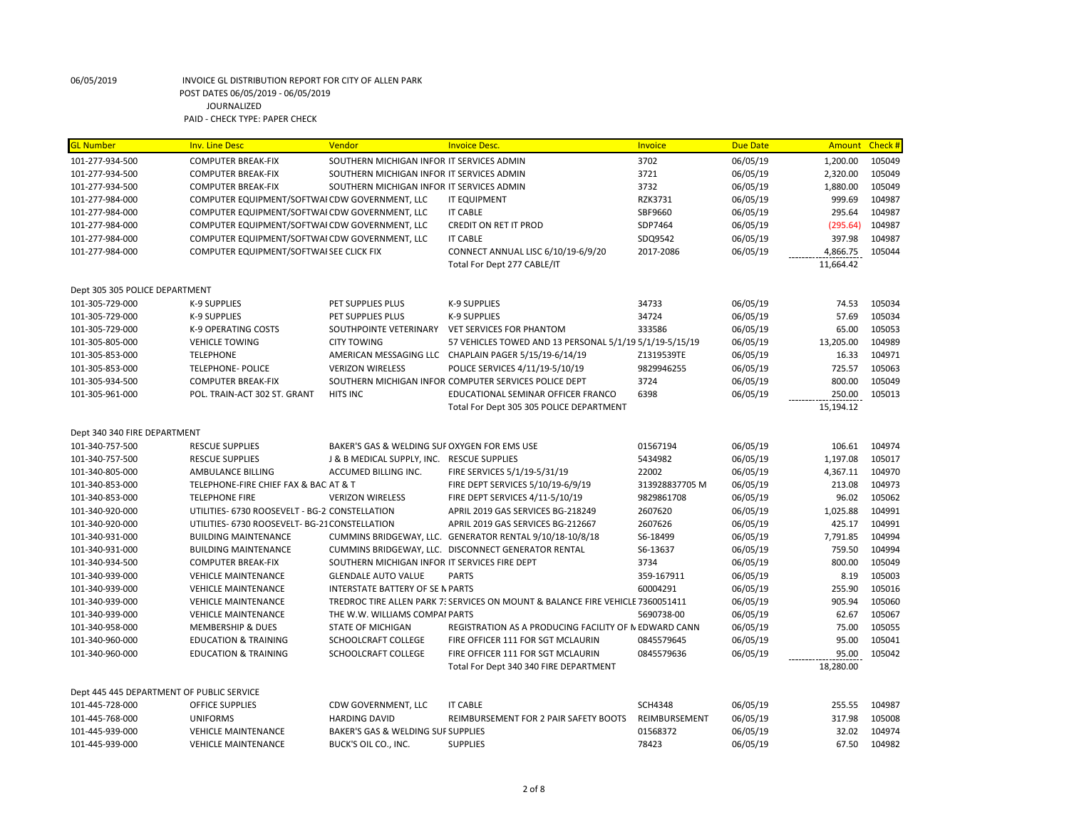| <b>GL Number</b>                          | <b>Inv. Line Desc</b>                          | Vendor                                                                      | <b>Invoice Desc.</b>                                                           | Invoice            | <b>Due Date</b> | Amount          | Check #          |
|-------------------------------------------|------------------------------------------------|-----------------------------------------------------------------------------|--------------------------------------------------------------------------------|--------------------|-----------------|-----------------|------------------|
| 101-277-934-500                           | <b>COMPUTER BREAK-FIX</b>                      | SOUTHERN MICHIGAN INFOR IT SERVICES ADMIN                                   |                                                                                | 3702               | 06/05/19        | 1,200.00        | 105049           |
| 101-277-934-500                           | <b>COMPUTER BREAK-FIX</b>                      | SOUTHERN MICHIGAN INFOR IT SERVICES ADMIN                                   |                                                                                | 3721               | 06/05/19        | 2,320.00        | 105049           |
| 101-277-934-500                           | <b>COMPUTER BREAK-FIX</b>                      | SOUTHERN MICHIGAN INFOR IT SERVICES ADMIN                                   |                                                                                | 3732               | 06/05/19        | 1,880.00        | 105049           |
| 101-277-984-000                           | COMPUTER EQUIPMENT/SOFTWAI CDW GOVERNMENT, LLC |                                                                             | IT EQUIPMENT                                                                   | RZK3731            | 06/05/19        | 999.69          | 104987           |
| 101-277-984-000                           | COMPUTER EQUIPMENT/SOFTWAI CDW GOVERNMENT, LLC |                                                                             | <b>IT CABLE</b>                                                                | SBF9660            | 06/05/19        | 295.64          | 104987           |
| 101-277-984-000                           | COMPUTER EQUIPMENT/SOFTWAI CDW GOVERNMENT, LLC |                                                                             | <b>CREDIT ON RET IT PROD</b>                                                   | SDP7464            | 06/05/19        | (295.64)        | 104987           |
| 101-277-984-000                           | COMPUTER EQUIPMENT/SOFTWAI CDW GOVERNMENT, LLC |                                                                             | <b>IT CABLE</b>                                                                | SDQ9542            | 06/05/19        | 397.98          | 104987           |
| 101-277-984-000                           | COMPUTER EQUIPMENT/SOFTWAISEE CLICK FIX        |                                                                             | CONNECT ANNUAL LISC 6/10/19-6/9/20                                             | 2017-2086          | 06/05/19        | 4,866.75        | 105044           |
|                                           |                                                |                                                                             | Total For Dept 277 CABLE/IT                                                    |                    |                 | 11,664.42       |                  |
| Dept 305 305 POLICE DEPARTMENT            |                                                |                                                                             |                                                                                |                    |                 |                 |                  |
| 101-305-729-000                           | K-9 SUPPLIES                                   | PET SUPPLIES PLUS                                                           | <b>K-9 SUPPLIES</b>                                                            | 34733              | 06/05/19        | 74.53           | 105034           |
| 101-305-729-000                           | K-9 SUPPLIES                                   | PET SUPPLIES PLUS                                                           | K-9 SUPPLIES                                                                   | 34724              | 06/05/19        | 57.69           | 105034           |
| 101-305-729-000                           | <b>K-9 OPERATING COSTS</b>                     | SOUTHPOINTE VETERINARY                                                      | <b>VET SERVICES FOR PHANTOM</b>                                                | 333586             | 06/05/19        | 65.00           | 105053           |
| 101-305-805-000                           | <b>VEHICLE TOWING</b>                          | <b>CITY TOWING</b>                                                          | 57 VEHICLES TOWED AND 13 PERSONAL 5/1/19 5/1/19-5/15/19                        |                    | 06/05/19        | 13,205.00       | 104989           |
| 101-305-853-000                           | <b>TELEPHONE</b>                               |                                                                             | AMERICAN MESSAGING LLC CHAPLAIN PAGER 5/15/19-6/14/19                          | Z1319539TE         | 06/05/19        | 16.33           | 104971           |
| 101-305-853-000                           | <b>TELEPHONE- POLICE</b>                       | <b>VERIZON WIRELESS</b>                                                     | POLICE SERVICES 4/11/19-5/10/19                                                | 9829946255         | 06/05/19        | 725.57          | 105063           |
| 101-305-934-500                           | <b>COMPUTER BREAK-FIX</b>                      |                                                                             | SOUTHERN MICHIGAN INFOR COMPUTER SERVICES POLICE DEPT                          | 3724               | 06/05/19        | 800.00          | 105049           |
| 101-305-961-000                           | POL. TRAIN-ACT 302 ST. GRANT                   | <b>HITS INC</b>                                                             | EDUCATIONAL SEMINAR OFFICER FRANCO                                             | 6398               | 06/05/19        | 250.00          | 105013           |
|                                           |                                                |                                                                             | Total For Dept 305 305 POLICE DEPARTMENT                                       |                    |                 | 15,194.12       |                  |
| Dept 340 340 FIRE DEPARTMENT              |                                                |                                                                             |                                                                                |                    |                 |                 |                  |
| 101-340-757-500                           | <b>RESCUE SUPPLIES</b>                         | BAKER'S GAS & WELDING SUF OXYGEN FOR EMS USE                                |                                                                                | 01567194           | 06/05/19        | 106.61          | 104974           |
| 101-340-757-500                           | <b>RESCUE SUPPLIES</b>                         | J & B MEDICAL SUPPLY, INC. RESCUE SUPPLIES                                  |                                                                                | 5434982            | 06/05/19        | 1,197.08        | 105017           |
| 101-340-805-000                           | AMBULANCE BILLING                              | ACCUMED BILLING INC.                                                        | FIRE SERVICES 5/1/19-5/31/19                                                   | 22002              | 06/05/19        | 4,367.11        | 104970           |
| 101-340-853-000                           | TELEPHONE-FIRE CHIEF FAX & BAC AT & T          |                                                                             | FIRE DEPT SERVICES 5/10/19-6/9/19                                              | 313928837705 M     | 06/05/19        | 213.08          | 104973           |
| 101-340-853-000                           | <b>TELEPHONE FIRE</b>                          | <b>VERIZON WIRELESS</b>                                                     | FIRE DEPT SERVICES 4/11-5/10/19                                                | 9829861708         | 06/05/19        | 96.02           | 105062           |
| 101-340-920-000                           | UTILITIES- 6730 ROOSEVELT - BG-2 CONSTELLATION |                                                                             | APRIL 2019 GAS SERVICES BG-218249                                              | 2607620            | 06/05/19        | 1,025.88        | 104991           |
| 101-340-920-000                           | UTILITIES- 6730 ROOSEVELT- BG-21 CONSTELLATION |                                                                             | APRIL 2019 GAS SERVICES BG-212667                                              | 2607626            | 06/05/19        | 425.17          | 104991           |
| 101-340-931-000                           | <b>BUILDING MAINTENANCE</b>                    |                                                                             | CUMMINS BRIDGEWAY, LLC. GENERATOR RENTAL 9/10/18-10/8/18                       | S6-18499           | 06/05/19        | 7,791.85        | 104994           |
|                                           |                                                |                                                                             |                                                                                |                    |                 |                 |                  |
| 101-340-931-000                           | <b>BUILDING MAINTENANCE</b>                    |                                                                             | CUMMINS BRIDGEWAY, LLC. DISCONNECT GENERATOR RENTAL                            | S6-13637           | 06/05/19        | 759.50          | 104994           |
| 101-340-934-500                           | <b>COMPUTER BREAK-FIX</b>                      | SOUTHERN MICHIGAN INFOR IT SERVICES FIRE DEPT<br><b>GLENDALE AUTO VALUE</b> | <b>PARTS</b>                                                                   | 3734<br>359-167911 | 06/05/19        | 800.00<br>8.19  | 105049<br>105003 |
| 101-340-939-000                           | <b>VEHICLE MAINTENANCE</b>                     |                                                                             |                                                                                |                    | 06/05/19        |                 |                  |
| 101-340-939-000                           | <b>VEHICLE MAINTENANCE</b>                     | <b>INTERSTATE BATTERY OF SE N PARTS</b>                                     |                                                                                | 60004291           | 06/05/19        | 255.90          | 105016           |
| 101-340-939-000                           | <b>VEHICLE MAINTENANCE</b>                     |                                                                             | TREDROC TIRE ALLEN PARK 7: SERVICES ON MOUNT & BALANCE FIRE VEHICLE 7360051411 | 5690738-00         | 06/05/19        | 905.94<br>62.67 | 105060           |
| 101-340-939-000                           | <b>VEHICLE MAINTENANCE</b>                     | THE W.W. WILLIAMS COMPAI PARTS                                              |                                                                                |                    | 06/05/19        |                 | 105067           |
| 101-340-958-000                           | MEMBERSHIP & DUES                              | <b>STATE OF MICHIGAN</b>                                                    | REGISTRATION AS A PRODUCING FACILITY OF N EDWARD CANN                          |                    | 06/05/19        | 75.00           | 105055           |
| 101-340-960-000                           | <b>EDUCATION &amp; TRAINING</b>                | SCHOOLCRAFT COLLEGE                                                         | FIRE OFFICER 111 FOR SGT MCLAURIN                                              | 0845579645         | 06/05/19        | 95.00           | 105041           |
| 101-340-960-000                           | <b>EDUCATION &amp; TRAINING</b>                | SCHOOLCRAFT COLLEGE                                                         | FIRE OFFICER 111 FOR SGT MCLAURIN                                              | 0845579636         | 06/05/19        | 95.00           | 105042           |
|                                           |                                                |                                                                             | Total For Dept 340 340 FIRE DEPARTMENT                                         |                    |                 | 18,280.00       |                  |
| Dept 445 445 DEPARTMENT OF PUBLIC SERVICE |                                                |                                                                             |                                                                                |                    |                 |                 |                  |
| 101-445-728-000                           | <b>OFFICE SUPPLIES</b>                         | CDW GOVERNMENT, LLC                                                         | <b>IT CABLE</b>                                                                | <b>SCH4348</b>     | 06/05/19        | 255.55          | 104987           |
| 101-445-768-000                           | <b>UNIFORMS</b>                                | <b>HARDING DAVID</b>                                                        | REIMBURSEMENT FOR 2 PAIR SAFETY BOOTS                                          | REIMBURSEMENT      | 06/05/19        | 317.98          | 105008           |
| 101-445-939-000                           | <b>VEHICLE MAINTENANCE</b>                     | <b>BAKER'S GAS &amp; WELDING SUF SUPPLIES</b>                               |                                                                                | 01568372           | 06/05/19        | 32.02           | 104974           |
| 101-445-939-000                           | <b>VEHICLE MAINTENANCE</b>                     | BUCK'S OIL CO., INC.                                                        | <b>SUPPLIES</b>                                                                | 78423              | 06/05/19        | 67.50           | 104982           |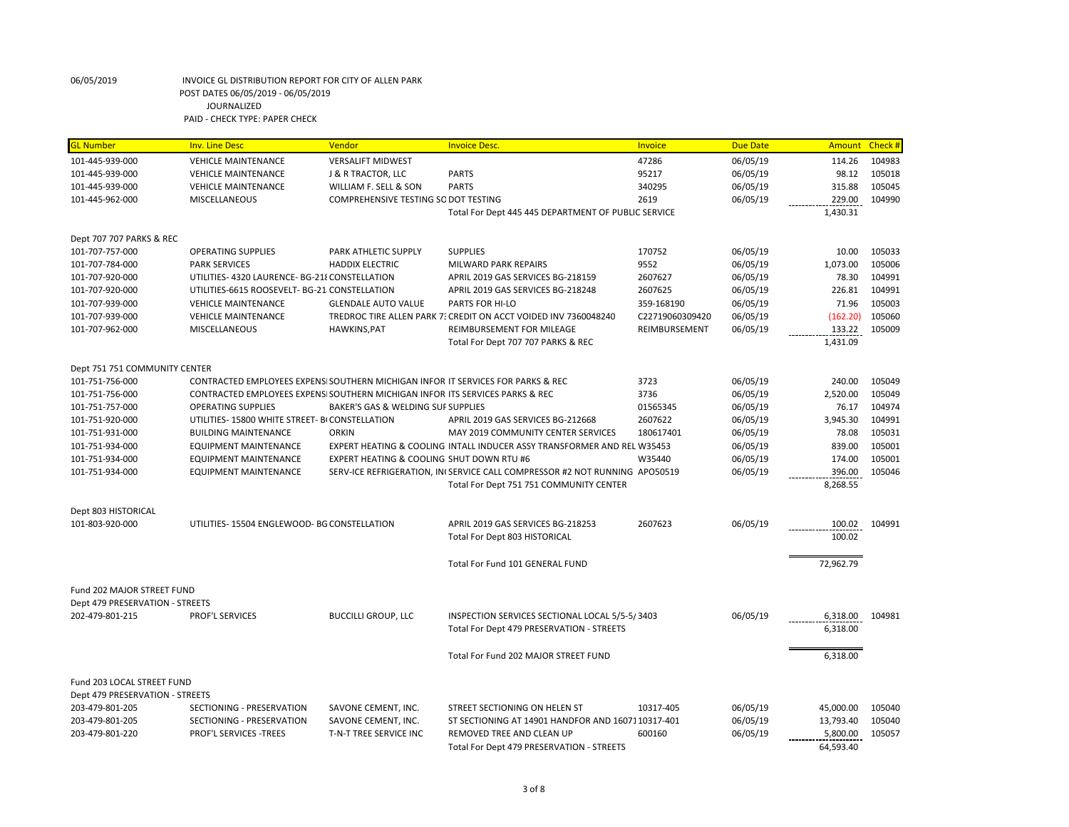| <mark>GL Number</mark>                      | <b>Inv. Line Desc</b>                                                            | <b>Vendor</b>                             | <b>Invoice Desc.</b>                                                       | Invoice         | <b>Due Date</b>      | <b>Amount</b> | Check # |
|---------------------------------------------|----------------------------------------------------------------------------------|-------------------------------------------|----------------------------------------------------------------------------|-----------------|----------------------|---------------|---------|
| 101-445-939-000                             | <b>VEHICLE MAINTENANCE</b>                                                       | <b>VERSALIFT MIDWEST</b>                  |                                                                            | 47286           | 06/05/19             | 114.26        | 104983  |
| 101-445-939-000                             | <b>VEHICLE MAINTENANCE</b>                                                       | J & R TRACTOR, LLC                        | <b>PARTS</b>                                                               | 95217           | 06/05/19             | 98.12         | 105018  |
| 101-445-939-000                             | <b>VEHICLE MAINTENANCE</b>                                                       | WILLIAM F. SELL & SON                     | <b>PARTS</b>                                                               | 340295          | 06/05/19             | 315.88        | 105045  |
| 101-445-962-000                             | <b>MISCELLANEOUS</b>                                                             | COMPREHENSIVE TESTING SO DOT TESTING      |                                                                            | 2619            | 06/05/19             | 229.00        | 104990  |
|                                             |                                                                                  |                                           | Total For Dept 445 445 DEPARTMENT OF PUBLIC SERVICE                        |                 |                      | 1,430.31      |         |
|                                             |                                                                                  |                                           |                                                                            |                 |                      |               |         |
| Dept 707 707 PARKS & REC<br>101-707-757-000 | <b>OPERATING SUPPLIES</b>                                                        | PARK ATHLETIC SUPPLY                      | <b>SUPPLIES</b>                                                            | 170752          | 06/05/19             | 10.00         | 105033  |
|                                             | <b>PARK SERVICES</b>                                                             | <b>HADDIX ELECTRIC</b>                    |                                                                            | 9552            |                      | 1,073.00      | 105006  |
| 101-707-784-000<br>101-707-920-000          | UTILITIES-4320 LAURENCE-BG-21 {CONSTELLATION                                     |                                           | MILWARD PARK REPAIRS<br>APRIL 2019 GAS SERVICES BG-218159                  | 2607627         | 06/05/19<br>06/05/19 | 78.30         | 104991  |
|                                             |                                                                                  |                                           |                                                                            |                 |                      |               |         |
| 101-707-920-000                             | UTILITIES-6615 ROOSEVELT- BG-21 CONSTELLATION                                    |                                           | APRIL 2019 GAS SERVICES BG-218248                                          | 2607625         | 06/05/19             | 226.81        | 104991  |
| 101-707-939-000                             | <b>VEHICLE MAINTENANCE</b>                                                       | <b>GLENDALE AUTO VALUE</b>                | PARTS FOR HI-LO                                                            | 359-168190      | 06/05/19             | 71.96         | 105003  |
| 101-707-939-000                             | <b>VEHICLE MAINTENANCE</b>                                                       |                                           | TREDROC TIRE ALLEN PARK 7: CREDIT ON ACCT VOIDED INV 7360048240            | C22719060309420 | 06/05/19             | (162.20)      | 105060  |
| 101-707-962-000                             | MISCELLANEOUS                                                                    | HAWKINS, PAT                              | REIMBURSEMENT FOR MILEAGE                                                  | REIMBURSEMENT   | 06/05/19             | 133.22        | 105009  |
|                                             |                                                                                  |                                           | Total For Dept 707 707 PARKS & REC                                         |                 |                      | 1,431.09      |         |
| Dept 751 751 COMMUNITY CENTER               |                                                                                  |                                           |                                                                            |                 |                      |               |         |
| 101-751-756-000                             | CONTRACTED EMPLOYEES EXPENSI SOUTHERN MICHIGAN INFOR IT SERVICES FOR PARKS & REC |                                           |                                                                            | 3723            | 06/05/19             | 240.00        | 105049  |
| 101-751-756-000                             | CONTRACTED EMPLOYEES EXPENSI SOUTHERN MICHIGAN INFOR ITS SERVICES PARKS & REC    |                                           |                                                                            | 3736            | 06/05/19             | 2,520.00      | 105049  |
| 101-751-757-000                             | <b>OPERATING SUPPLIES</b>                                                        | BAKER'S GAS & WELDING SUF SUPPLIES        |                                                                            | 01565345        | 06/05/19             | 76.17         | 104974  |
| 101-751-920-000                             | UTILITIES- 15800 WHITE STREET- BI CONSTELLATION                                  |                                           | APRIL 2019 GAS SERVICES BG-212668                                          | 2607622         | 06/05/19             | 3,945.30      | 104991  |
| 101-751-931-000                             | <b>BUILDING MAINTENANCE</b>                                                      | <b>ORKIN</b>                              | MAY 2019 COMMUNITY CENTER SERVICES                                         | 180617401       | 06/05/19             | 78.08         | 105031  |
| 101-751-934-000                             | <b>EQUIPMENT MAINTENANCE</b>                                                     |                                           | EXPERT HEATING & COOLING INTALL INDUCER ASSY TRANSFORMER AND REL W35453    |                 | 06/05/19             | 839.00        | 105001  |
| 101-751-934-000                             | <b>EQUIPMENT MAINTENANCE</b>                                                     | EXPERT HEATING & COOLING SHUT DOWN RTU #6 |                                                                            | W35440          | 06/05/19             | 174.00        | 105001  |
| 101-751-934-000                             | <b>EQUIPMENT MAINTENANCE</b>                                                     |                                           | SERV-ICE REFRIGERATION, IN(SERVICE CALL COMPRESSOR #2 NOT RUNNING APO50519 |                 | 06/05/19             | 396.00        | 105046  |
|                                             |                                                                                  |                                           | Total For Dept 751 751 COMMUNITY CENTER                                    |                 |                      | 8,268.55      |         |
| Dept 803 HISTORICAL                         |                                                                                  |                                           |                                                                            |                 |                      |               |         |
| 101-803-920-000                             | UTILITIES-15504 ENGLEWOOD-BG CONSTELLATION                                       |                                           | APRIL 2019 GAS SERVICES BG-218253                                          | 2607623         | 06/05/19             | 100.02        | 104991  |
|                                             |                                                                                  |                                           | Total For Dept 803 HISTORICAL                                              |                 |                      | 100.02        |         |
|                                             |                                                                                  |                                           |                                                                            |                 |                      |               |         |
|                                             |                                                                                  |                                           | Total For Fund 101 GENERAL FUND                                            |                 |                      | 72,962.79     |         |
| Fund 202 MAJOR STREET FUND                  |                                                                                  |                                           |                                                                            |                 |                      |               |         |
| Dept 479 PRESERVATION - STREETS             |                                                                                  |                                           |                                                                            |                 |                      |               |         |
| 202-479-801-215                             | PROF'L SERVICES                                                                  | <b>BUCCILLI GROUP, LLC</b>                | INSPECTION SERVICES SECTIONAL LOCAL 5/5-5/3403                             |                 | 06/05/19             | 6,318.00      | 104981  |
|                                             |                                                                                  |                                           | Total For Dept 479 PRESERVATION - STREETS                                  |                 |                      | 6,318.00      |         |
|                                             |                                                                                  |                                           |                                                                            |                 |                      |               |         |
|                                             |                                                                                  |                                           | Total For Fund 202 MAJOR STREET FUND                                       |                 |                      | 6,318.00      |         |
| Fund 203 LOCAL STREET FUND                  |                                                                                  |                                           |                                                                            |                 |                      |               |         |
| Dept 479 PRESERVATION - STREETS             |                                                                                  |                                           |                                                                            |                 |                      |               |         |
| 203-479-801-205                             | SECTIONING - PRESERVATION                                                        | SAVONE CEMENT, INC.                       | STREET SECTIONING ON HELEN ST                                              | 10317-405       | 06/05/19             | 45,000.00     | 105040  |
| 203-479-801-205                             | SECTIONING - PRESERVATION                                                        | SAVONE CEMENT, INC.                       | ST SECTIONING AT 14901 HANDFOR AND 1607110317-401                          |                 | 06/05/19             | 13,793.40     | 105040  |
| 203-479-801-220                             | <b>PROF'L SERVICES -TREES</b>                                                    | T-N-T TREE SERVICE INC                    | REMOVED TREE AND CLEAN UP                                                  | 600160          | 06/05/19             | 5,800.00      | 105057  |
|                                             |                                                                                  |                                           | Total For Dept 479 PRESERVATION - STREETS                                  |                 |                      | 64.593.40     |         |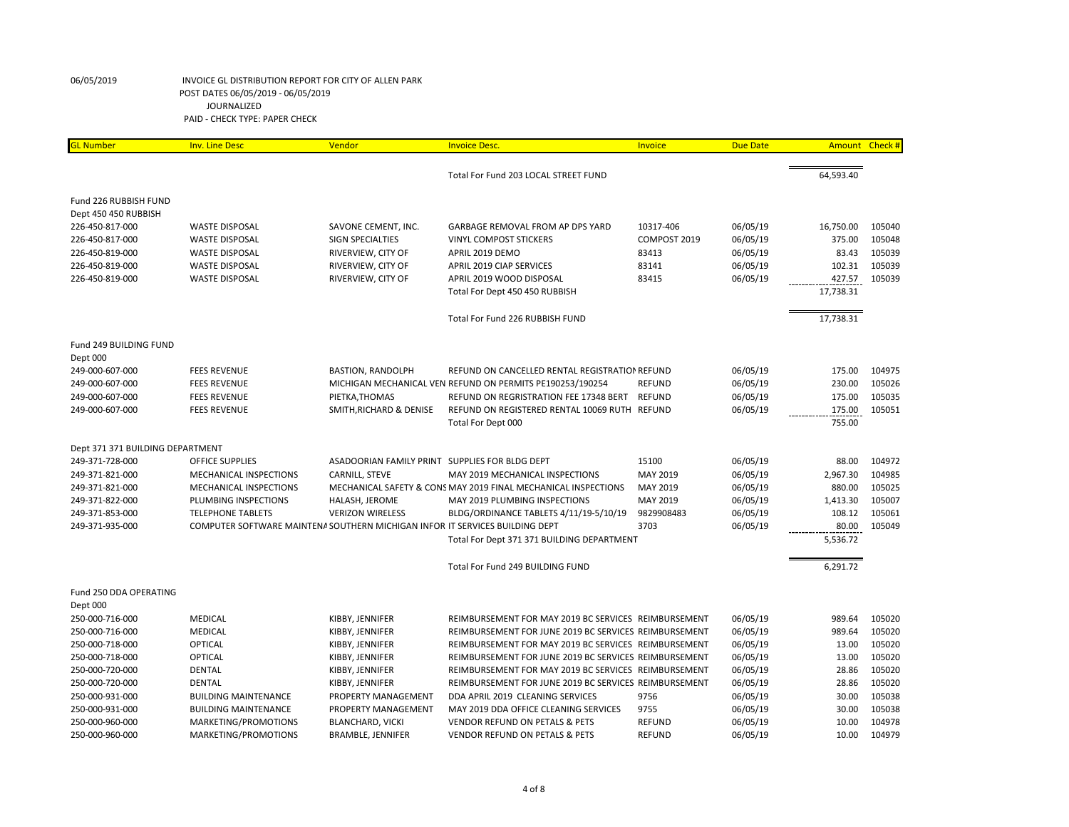| <b>GL Number</b>                 | <b>Inv. Line Desc</b>                                                        | Vendor                                         | <b>Invoice Desc.</b>                                           | Invoice       | <b>Due Date</b> | Amount Check # |        |
|----------------------------------|------------------------------------------------------------------------------|------------------------------------------------|----------------------------------------------------------------|---------------|-----------------|----------------|--------|
|                                  |                                                                              |                                                |                                                                |               |                 |                |        |
|                                  |                                                                              |                                                | Total For Fund 203 LOCAL STREET FUND                           |               |                 | 64,593.40      |        |
| Fund 226 RUBBISH FUND            |                                                                              |                                                |                                                                |               |                 |                |        |
| Dept 450 450 RUBBISH             |                                                                              |                                                |                                                                |               |                 |                |        |
| 226-450-817-000                  | <b>WASTE DISPOSAL</b>                                                        | SAVONE CEMENT, INC.                            | GARBAGE REMOVAL FROM AP DPS YARD                               | 10317-406     | 06/05/19        | 16,750.00      | 105040 |
| 226-450-817-000                  | <b>WASTE DISPOSAL</b>                                                        | SIGN SPECIALTIES                               | <b>VINYL COMPOST STICKERS</b>                                  | COMPOST 2019  | 06/05/19        | 375.00         | 105048 |
| 226-450-819-000                  | <b>WASTE DISPOSAL</b>                                                        | RIVERVIEW, CITY OF                             | APRIL 2019 DEMO                                                | 83413         | 06/05/19        | 83.43          | 105039 |
| 226-450-819-000                  | <b>WASTE DISPOSAL</b>                                                        | RIVERVIEW, CITY OF                             | APRIL 2019 CIAP SERVICES                                       | 83141         | 06/05/19        | 102.31         | 105039 |
| 226-450-819-000                  | <b>WASTE DISPOSAL</b>                                                        | RIVERVIEW, CITY OF                             | APRIL 2019 WOOD DISPOSAL                                       | 83415         | 06/05/19        | 427.57         | 105039 |
|                                  |                                                                              |                                                | Total For Dept 450 450 RUBBISH                                 |               |                 | 17,738.31      |        |
|                                  |                                                                              |                                                |                                                                |               |                 |                |        |
|                                  |                                                                              |                                                | Total For Fund 226 RUBBISH FUND                                |               |                 | 17,738.31      |        |
| Fund 249 BUILDING FUND           |                                                                              |                                                |                                                                |               |                 |                |        |
| Dept 000                         |                                                                              |                                                |                                                                |               |                 |                |        |
| 249-000-607-000                  | <b>FEES REVENUE</b>                                                          | <b>BASTION, RANDOLPH</b>                       | REFUND ON CANCELLED RENTAL REGISTRATION REFUND                 |               | 06/05/19        | 175.00         | 104975 |
| 249-000-607-000                  | <b>FEES REVENUE</b>                                                          |                                                | MICHIGAN MECHANICAL VEN REFUND ON PERMITS PE190253/190254      | <b>REFUND</b> | 06/05/19        | 230.00         | 105026 |
| 249-000-607-000                  | <b>FEES REVENUE</b>                                                          | PIETKA, THOMAS                                 | REFUND ON REGRISTRATION FEE 17348 BERT                         | <b>REFUND</b> | 06/05/19        | 175.00         | 105035 |
| 249-000-607-000                  | <b>FEES REVENUE</b>                                                          | SMITH, RICHARD & DENISE                        | REFUND ON REGISTERED RENTAL 10069 RUTH REFUND                  |               | 06/05/19        | 175.00         | 105051 |
|                                  |                                                                              |                                                | Total For Dept 000                                             |               |                 | 755.00         |        |
| Dept 371 371 BUILDING DEPARTMENT |                                                                              |                                                |                                                                |               |                 |                |        |
| 249-371-728-000                  | <b>OFFICE SUPPLIES</b>                                                       | ASADOORIAN FAMILY PRINT SUPPLIES FOR BLDG DEPT |                                                                | 15100         | 06/05/19        | 88.00          | 104972 |
| 249-371-821-000                  | MECHANICAL INSPECTIONS                                                       | CARNILL, STEVE                                 | MAY 2019 MECHANICAL INSPECTIONS                                | MAY 2019      | 06/05/19        | 2,967.30       | 104985 |
| 249-371-821-000                  | MECHANICAL INSPECTIONS                                                       |                                                | MECHANICAL SAFETY & CONS MAY 2019 FINAL MECHANICAL INSPECTIONS | MAY 2019      | 06/05/19        | 880.00         | 105025 |
| 249-371-822-000                  | PLUMBING INSPECTIONS                                                         | HALASH, JEROME                                 | MAY 2019 PLUMBING INSPECTIONS                                  | MAY 2019      | 06/05/19        | 1,413.30       | 105007 |
| 249-371-853-000                  | <b>TELEPHONE TABLETS</b>                                                     | <b>VERIZON WIRELESS</b>                        | BLDG/ORDINANCE TABLETS 4/11/19-5/10/19                         | 9829908483    | 06/05/19        | 108.12         | 105061 |
| 249-371-935-000                  | COMPUTER SOFTWARE MAINTENA SOUTHERN MICHIGAN INFOR IT SERVICES BUILDING DEPT |                                                |                                                                | 3703          | 06/05/19        | 80.00          | 105049 |
|                                  |                                                                              |                                                | Total For Dept 371 371 BUILDING DEPARTMENT                     |               |                 | 5,536.72       |        |
|                                  |                                                                              |                                                | Total For Fund 249 BUILDING FUND                               |               |                 | 6,291.72       |        |
| Fund 250 DDA OPERATING           |                                                                              |                                                |                                                                |               |                 |                |        |
| Dept 000                         |                                                                              |                                                |                                                                |               |                 |                |        |
| 250-000-716-000                  | <b>MEDICAL</b>                                                               | KIBBY, JENNIFER                                | REIMBURSEMENT FOR MAY 2019 BC SERVICES REIMBURSEMENT           |               | 06/05/19        | 989.64         | 105020 |
| 250-000-716-000                  | <b>MEDICAL</b>                                                               | KIBBY, JENNIFER                                | REIMBURSEMENT FOR JUNE 2019 BC SERVICES REIMBURSEMENT          |               | 06/05/19        | 989.64         | 105020 |
| 250-000-718-000                  | <b>OPTICAL</b>                                                               | KIBBY, JENNIFER                                | REIMBURSEMENT FOR MAY 2019 BC SERVICES REIMBURSEMENT           |               | 06/05/19        | 13.00          | 105020 |
| 250-000-718-000                  | <b>OPTICAL</b>                                                               | KIBBY, JENNIFER                                | REIMBURSEMENT FOR JUNE 2019 BC SERVICES REIMBURSEMENT          |               | 06/05/19        | 13.00          | 105020 |
| 250-000-720-000                  | <b>DENTAL</b>                                                                | KIBBY, JENNIFER                                | REIMBURSEMENT FOR MAY 2019 BC SERVICES REIMBURSEMENT           |               | 06/05/19        | 28.86          | 105020 |
| 250-000-720-000                  | <b>DENTAL</b>                                                                | KIBBY, JENNIFER                                | REIMBURSEMENT FOR JUNE 2019 BC SERVICES REIMBURSEMENT          |               | 06/05/19        | 28.86          | 105020 |
| 250-000-931-000                  | <b>BUILDING MAINTENANCE</b>                                                  | PROPERTY MANAGEMENT                            | DDA APRIL 2019 CLEANING SERVICES                               | 9756          | 06/05/19        | 30.00          | 105038 |
| 250-000-931-000                  | <b>BUILDING MAINTENANCE</b>                                                  | PROPERTY MANAGEMENT                            | MAY 2019 DDA OFFICE CLEANING SERVICES                          | 9755          | 06/05/19        | 30.00          | 105038 |
| 250-000-960-000                  | MARKETING/PROMOTIONS                                                         | <b>BLANCHARD, VICKI</b>                        | <b>VENDOR REFUND ON PETALS &amp; PETS</b>                      | <b>REFUND</b> | 06/05/19        | 10.00          | 104978 |
| 250-000-960-000                  | MARKETING/PROMOTIONS                                                         | BRAMBLE, JENNIFER                              | <b>VENDOR REFUND ON PETALS &amp; PETS</b>                      | <b>REFUND</b> | 06/05/19        | 10.00          | 104979 |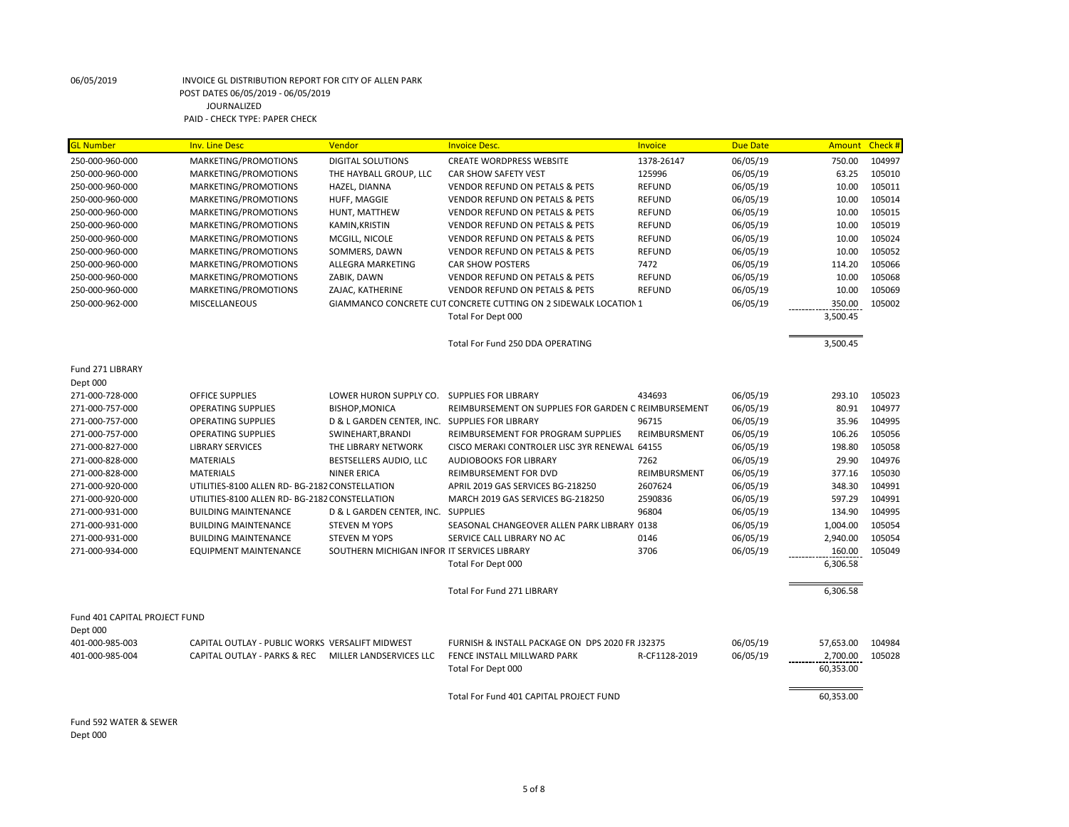| <b>GL Number</b>              | <b>Inv. Line Desc</b>                           | Vendor                                         | <b>Invoice Desc.</b>                                             | Invoice       | <b>Due Date</b> | Amount    | Check # |
|-------------------------------|-------------------------------------------------|------------------------------------------------|------------------------------------------------------------------|---------------|-----------------|-----------|---------|
| 250-000-960-000               | MARKETING/PROMOTIONS                            | <b>DIGITAL SOLUTIONS</b>                       | <b>CREATE WORDPRESS WEBSITE</b>                                  | 1378-26147    | 06/05/19        | 750.00    | 104997  |
| 250-000-960-000               | MARKETING/PROMOTIONS                            | THE HAYBALL GROUP, LLC                         | <b>CAR SHOW SAFETY VEST</b>                                      | 125996        | 06/05/19        | 63.25     | 105010  |
| 250-000-960-000               | MARKETING/PROMOTIONS                            | HAZEL, DIANNA                                  | <b>VENDOR REFUND ON PETALS &amp; PETS</b>                        | <b>REFUND</b> | 06/05/19        | 10.00     | 105011  |
| 250-000-960-000               | MARKETING/PROMOTIONS                            | HUFF, MAGGIE                                   | <b>VENDOR REFUND ON PETALS &amp; PETS</b>                        | <b>REFUND</b> | 06/05/19        | 10.00     | 105014  |
| 250-000-960-000               | MARKETING/PROMOTIONS                            | HUNT, MATTHEW                                  | <b>VENDOR REFUND ON PETALS &amp; PETS</b>                        | <b>REFUND</b> | 06/05/19        | 10.00     | 105015  |
| 250-000-960-000               | MARKETING/PROMOTIONS                            | KAMIN, KRISTIN                                 | <b>VENDOR REFUND ON PETALS &amp; PETS</b>                        | <b>REFUND</b> | 06/05/19        | 10.00     | 105019  |
| 250-000-960-000               | MARKETING/PROMOTIONS                            | MCGILL, NICOLE                                 | <b>VENDOR REFUND ON PETALS &amp; PETS</b>                        | <b>REFUND</b> | 06/05/19        | 10.00     | 105024  |
| 250-000-960-000               | MARKETING/PROMOTIONS                            | SOMMERS, DAWN                                  | <b>VENDOR REFUND ON PETALS &amp; PETS</b>                        | <b>REFUND</b> | 06/05/19        | 10.00     | 105052  |
| 250-000-960-000               | MARKETING/PROMOTIONS                            | ALLEGRA MARKETING                              | <b>CAR SHOW POSTERS</b>                                          | 7472          | 06/05/19        | 114.20    | 105066  |
| 250-000-960-000               | MARKETING/PROMOTIONS                            | ZABIK, DAWN                                    | <b>VENDOR REFUND ON PETALS &amp; PETS</b>                        | <b>REFUND</b> | 06/05/19        | 10.00     | 105068  |
| 250-000-960-000               | MARKETING/PROMOTIONS                            | ZAJAC, KATHERINE                               | <b>VENDOR REFUND ON PETALS &amp; PETS</b>                        | <b>REFUND</b> | 06/05/19        | 10.00     | 105069  |
| 250-000-962-000               | <b>MISCELLANEOUS</b>                            |                                                | GIAMMANCO CONCRETE CUT CONCRETE CUTTING ON 2 SIDEWALK LOCATION 1 |               | 06/05/19        | 350.00    | 105002  |
|                               |                                                 |                                                | Total For Dept 000                                               |               |                 | 3,500.45  |         |
|                               |                                                 |                                                | Total For Fund 250 DDA OPERATING                                 |               |                 | 3,500.45  |         |
| Fund 271 LIBRARY              |                                                 |                                                |                                                                  |               |                 |           |         |
| Dept 000                      |                                                 |                                                |                                                                  |               |                 |           |         |
| 271-000-728-000               | <b>OFFICE SUPPLIES</b>                          | LOWER HURON SUPPLY CO. SUPPLIES FOR LIBRARY    |                                                                  | 434693        | 06/05/19        | 293.10    | 105023  |
| 271-000-757-000               | <b>OPERATING SUPPLIES</b>                       | <b>BISHOP, MONICA</b>                          | REIMBURSEMENT ON SUPPLIES FOR GARDEN C REIMBURSEMENT             |               | 06/05/19        | 80.91     | 104977  |
| 271-000-757-000               | <b>OPERATING SUPPLIES</b>                       | D & L GARDEN CENTER, INC. SUPPLIES FOR LIBRARY |                                                                  | 96715         | 06/05/19        | 35.96     | 104995  |
| 271-000-757-000               | <b>OPERATING SUPPLIES</b>                       | SWINEHART, BRANDI                              | REIMBURSEMENT FOR PROGRAM SUPPLIES                               | REIMBURSMENT  | 06/05/19        | 106.26    | 105056  |
| 271-000-827-000               | <b>LIBRARY SERVICES</b>                         | THE LIBRARY NETWORK                            | CISCO MERAKI CONTROLER LISC 3YR RENEWAL 64155                    |               | 06/05/19        | 198.80    | 105058  |
| 271-000-828-000               | <b>MATERIALS</b>                                | BESTSELLERS AUDIO, LLC                         | AUDIOBOOKS FOR LIBRARY                                           | 7262          | 06/05/19        | 29.90     | 104976  |
| 271-000-828-000               | <b>MATERIALS</b>                                | <b>NINER ERICA</b>                             | REIMBURSEMENT FOR DVD                                            | REIMBURSMENT  | 06/05/19        | 377.16    | 105030  |
| 271-000-920-000               | UTILITIES-8100 ALLEN RD- BG-2182 CONSTELLATION  |                                                | APRIL 2019 GAS SERVICES BG-218250                                | 2607624       | 06/05/19        | 348.30    | 104991  |
| 271-000-920-000               | UTILITIES-8100 ALLEN RD- BG-2182 CONSTELLATION  |                                                | MARCH 2019 GAS SERVICES BG-218250                                | 2590836       | 06/05/19        | 597.29    | 104991  |
| 271-000-931-000               | <b>BUILDING MAINTENANCE</b>                     | D & L GARDEN CENTER, INC. SUPPLIES             |                                                                  | 96804         | 06/05/19        | 134.90    | 104995  |
| 271-000-931-000               | <b>BUILDING MAINTENANCE</b>                     | <b>STEVEN M YOPS</b>                           | SEASONAL CHANGEOVER ALLEN PARK LIBRARY 0138                      |               | 06/05/19        | 1,004.00  | 105054  |
| 271-000-931-000               | <b>BUILDING MAINTENANCE</b>                     | <b>STEVEN M YOPS</b>                           | SERVICE CALL LIBRARY NO AC                                       | 0146          | 06/05/19        | 2,940.00  | 105054  |
| 271-000-934-000               | <b>EQUIPMENT MAINTENANCE</b>                    | SOUTHERN MICHIGAN INFOR IT SERVICES LIBRARY    |                                                                  | 3706          | 06/05/19        | 160.00    | 105049  |
|                               |                                                 |                                                | Total For Dept 000                                               |               |                 | 6,306.58  |         |
|                               |                                                 |                                                | Total For Fund 271 LIBRARY                                       |               |                 | 6,306.58  |         |
|                               |                                                 |                                                |                                                                  |               |                 |           |         |
| Fund 401 CAPITAL PROJECT FUND |                                                 |                                                |                                                                  |               |                 |           |         |
| Dept 000                      |                                                 |                                                |                                                                  |               |                 |           |         |
| 401-000-985-003               | CAPITAL OUTLAY - PUBLIC WORKS VERSALIFT MIDWEST |                                                | FURNISH & INSTALL PACKAGE ON DPS 2020 FR J32375                  |               | 06/05/19        | 57,653.00 | 104984  |
| 401-000-985-004               | CAPITAL OUTLAY - PARKS & REC                    | MILLER LANDSERVICES LLC                        | FENCE INSTALL MILLWARD PARK                                      | R-CF1128-2019 | 06/05/19        | 2,700.00  | 105028  |
|                               |                                                 |                                                | Total For Dept 000                                               |               |                 | 60,353.00 |         |
|                               |                                                 |                                                | Total For Fund 401 CAPITAL PROJECT FUND                          |               |                 | 60,353.00 |         |
|                               |                                                 |                                                |                                                                  |               |                 |           |         |

Fund 592 WATER & SEWER Dept 000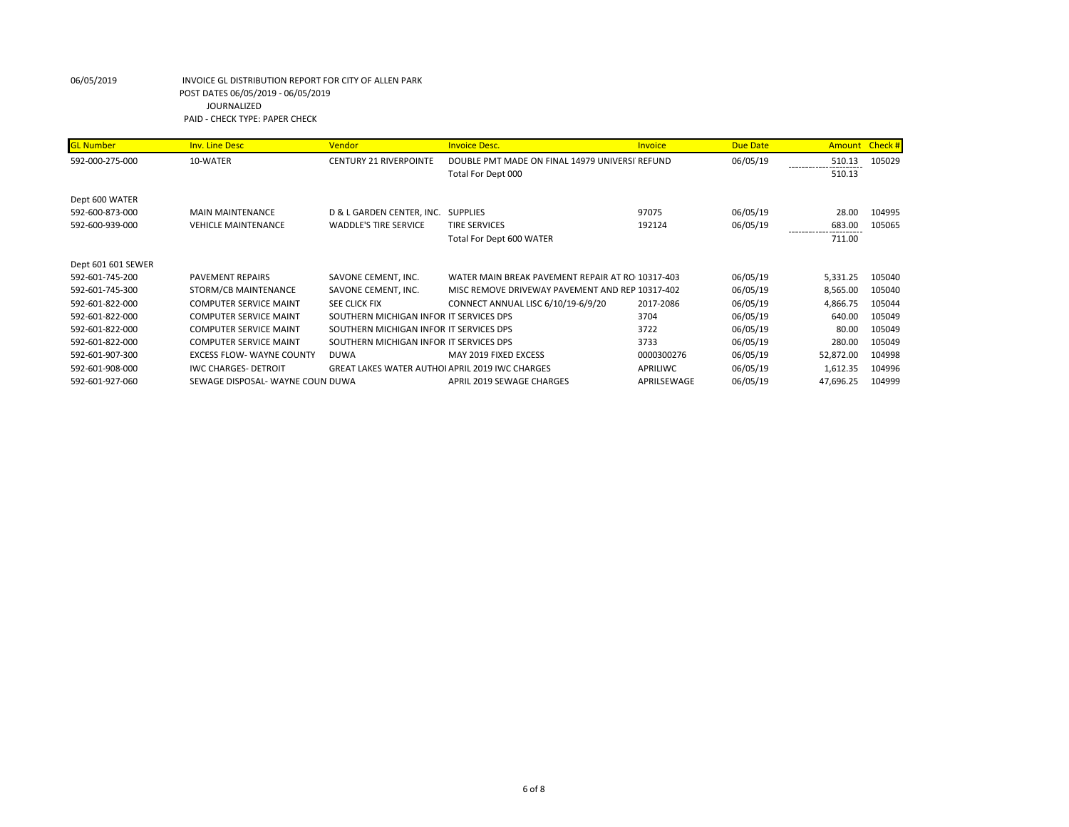| <b>GL Number</b>   | <b>Inv. Line Desc</b>            | <b>Vendor</b>                                         | <b>Invoice Desc.</b>                             | <b>Invoice</b> | Due Date | Amount    | Check # |
|--------------------|----------------------------------|-------------------------------------------------------|--------------------------------------------------|----------------|----------|-----------|---------|
| 592-000-275-000    | 10-WATER                         | <b>CENTURY 21 RIVERPOINTE</b>                         | DOUBLE PMT MADE ON FINAL 14979 UNIVERSI REFUND   |                | 06/05/19 | 510.13    | 105029  |
|                    |                                  |                                                       | Total For Dept 000                               |                |          | 510.13    |         |
| Dept 600 WATER     |                                  |                                                       |                                                  |                |          |           |         |
| 592-600-873-000    | <b>MAIN MAINTENANCE</b>          | D & L GARDEN CENTER, INC.                             | <b>SUPPLIES</b>                                  | 97075          | 06/05/19 | 28.00     | 104995  |
| 592-600-939-000    | <b>VEHICLE MAINTENANCE</b>       | <b>WADDLE'S TIRE SERVICE</b>                          | <b>TIRE SERVICES</b>                             | 192124         | 06/05/19 | 683.00    | 105065  |
|                    |                                  |                                                       | Total For Dept 600 WATER                         |                |          | 711.00    |         |
| Dept 601 601 SEWER |                                  |                                                       |                                                  |                |          |           |         |
| 592-601-745-200    | <b>PAVEMENT REPAIRS</b>          | SAVONE CEMENT, INC.                                   | WATER MAIN BREAK PAVEMENT REPAIR AT RO 10317-403 |                | 06/05/19 | 5,331.25  | 105040  |
| 592-601-745-300    | STORM/CB MAINTENANCE             | SAVONE CEMENT, INC.                                   | MISC REMOVE DRIVEWAY PAVEMENT AND REP 10317-402  |                | 06/05/19 | 8,565.00  | 105040  |
| 592-601-822-000    | <b>COMPUTER SERVICE MAINT</b>    | <b>SEE CLICK FIX</b>                                  | CONNECT ANNUAL LISC 6/10/19-6/9/20               | 2017-2086      | 06/05/19 | 4,866.75  | 105044  |
| 592-601-822-000    | <b>COMPUTER SERVICE MAINT</b>    | SOUTHERN MICHIGAN INFOR IT SERVICES DPS               |                                                  | 3704           | 06/05/19 | 640.00    | 105049  |
| 592-601-822-000    | <b>COMPUTER SERVICE MAINT</b>    | SOUTHERN MICHIGAN INFOR IT SERVICES DPS               |                                                  | 3722           | 06/05/19 | 80.00     | 105049  |
| 592-601-822-000    | <b>COMPUTER SERVICE MAINT</b>    | SOUTHERN MICHIGAN INFOR IT SERVICES DPS               |                                                  | 3733           | 06/05/19 | 280.00    | 105049  |
| 592-601-907-300    | <b>EXCESS FLOW- WAYNE COUNTY</b> | <b>DUWA</b>                                           | MAY 2019 FIXED EXCESS                            | 0000300276     | 06/05/19 | 52,872.00 | 104998  |
| 592-601-908-000    | <b>IWC CHARGES- DETROIT</b>      | <b>GREAT LAKES WATER AUTHOLAPRIL 2019 IWC CHARGES</b> |                                                  | APRILIWC       | 06/05/19 | 1,612.35  | 104996  |
| 592-601-927-060    | SEWAGE DISPOSAL- WAYNE COUN DUWA |                                                       | APRIL 2019 SEWAGE CHARGES                        | APRILSEWAGE    | 06/05/19 | 47,696.25 | 104999  |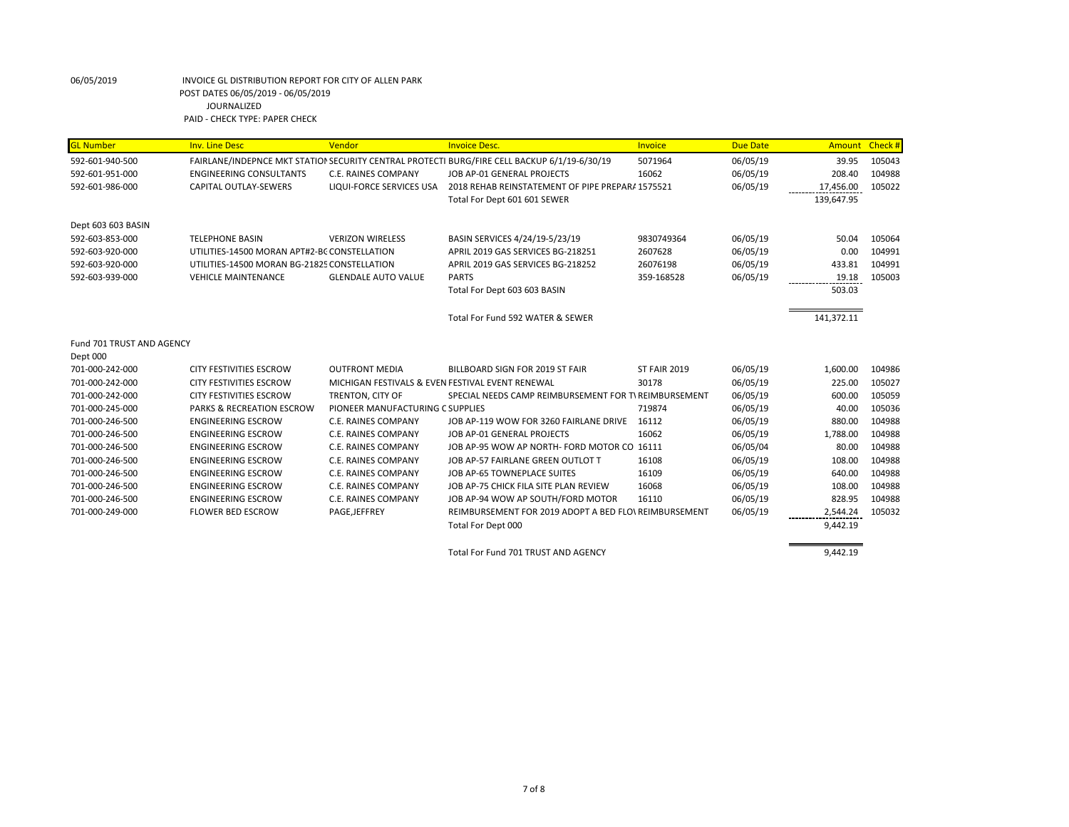| <b>GL Number</b>          | <b>Inv. Line Desc</b>                        | Vendor                                           | <b>Invoice Desc.</b>                                                                         | Invoice             | <b>Due Date</b> | Amount     | Check# |
|---------------------------|----------------------------------------------|--------------------------------------------------|----------------------------------------------------------------------------------------------|---------------------|-----------------|------------|--------|
| 592-601-940-500           |                                              |                                                  | FAIRLANE/INDEPNCE MKT STATION SECURITY CENTRAL PROTECTI BURG/FIRE CELL BACKUP 6/1/19-6/30/19 | 5071964             | 06/05/19        | 39.95      | 105043 |
| 592-601-951-000           | <b>ENGINEERING CONSULTANTS</b>               | <b>C.E. RAINES COMPANY</b>                       | JOB AP-01 GENERAL PROJECTS                                                                   | 16062               | 06/05/19        | 208.40     | 104988 |
| 592-601-986-000           | CAPITAL OUTLAY-SEWERS                        | LIQUI-FORCE SERVICES USA                         | 2018 REHAB REINSTATEMENT OF PIPE PREPARA 1575521                                             |                     | 06/05/19        | 17,456.00  | 105022 |
|                           |                                              |                                                  | Total For Dept 601 601 SEWER                                                                 |                     |                 | 139,647.95 |        |
|                           |                                              |                                                  |                                                                                              |                     |                 |            |        |
| Dept 603 603 BASIN        |                                              |                                                  |                                                                                              |                     |                 |            |        |
| 592-603-853-000           | <b>TELEPHONE BASIN</b>                       | <b>VERIZON WIRELESS</b>                          | BASIN SERVICES 4/24/19-5/23/19                                                               | 9830749364          | 06/05/19        | 50.04      | 105064 |
| 592-603-920-000           | UTILITIES-14500 MORAN APT#2-BC CONSTELLATION |                                                  | APRIL 2019 GAS SERVICES BG-218251                                                            | 2607628             | 06/05/19        | 0.00       | 104991 |
| 592-603-920-000           | UTILITIES-14500 MORAN BG-21825 CONSTELLATION |                                                  | APRIL 2019 GAS SERVICES BG-218252                                                            | 26076198            | 06/05/19        | 433.81     | 104991 |
| 592-603-939-000           | <b>VEHICLE MAINTENANCE</b>                   | <b>GLENDALE AUTO VALUE</b>                       | <b>PARTS</b>                                                                                 | 359-168528          | 06/05/19        | 19.18      | 105003 |
|                           |                                              |                                                  | Total For Dept 603 603 BASIN                                                                 |                     |                 | 503.03     |        |
|                           |                                              |                                                  | Total For Fund 592 WATER & SEWER                                                             |                     |                 | 141,372.11 |        |
| Fund 701 TRUST AND AGENCY |                                              |                                                  |                                                                                              |                     |                 |            |        |
| Dept 000                  |                                              |                                                  |                                                                                              |                     |                 |            |        |
| 701-000-242-000           | <b>CITY FESTIVITIES ESCROW</b>               | <b>OUTFRONT MEDIA</b>                            | BILLBOARD SIGN FOR 2019 ST FAIR                                                              | <b>ST FAIR 2019</b> | 06/05/19        | 1,600.00   | 104986 |
| 701-000-242-000           | <b>CITY FESTIVITIES ESCROW</b>               | MICHIGAN FESTIVALS & EVEN FESTIVAL EVENT RENEWAL |                                                                                              | 30178               | 06/05/19        | 225.00     | 105027 |
| 701-000-242-000           | <b>CITY FESTIVITIES ESCROW</b>               | TRENTON, CITY OF                                 | SPECIAL NEEDS CAMP REIMBURSEMENT FOR TV REIMBURSEMENT                                        |                     | 06/05/19        | 600.00     | 105059 |
| 701-000-245-000           | <b>PARKS &amp; RECREATION ESCROW</b>         | PIONEER MANUFACTURING C SUPPLIES                 |                                                                                              | 719874              | 06/05/19        | 40.00      | 105036 |
| 701-000-246-500           | <b>ENGINEERING ESCROW</b>                    | C.E. RAINES COMPANY                              | JOB AP-119 WOW FOR 3260 FAIRLANE DRIVE                                                       | 16112               | 06/05/19        | 880.00     | 104988 |
| 701-000-246-500           | <b>ENGINEERING ESCROW</b>                    | C.E. RAINES COMPANY                              | JOB AP-01 GENERAL PROJECTS                                                                   | 16062               | 06/05/19        | 1,788.00   | 104988 |
| 701-000-246-500           | <b>ENGINEERING ESCROW</b>                    | <b>C.E. RAINES COMPANY</b>                       | JOB AP-95 WOW AP NORTH- FORD MOTOR CO 16111                                                  |                     | 06/05/04        | 80.00      | 104988 |
| 701-000-246-500           | <b>ENGINEERING ESCROW</b>                    | C.E. RAINES COMPANY                              | JOB AP-57 FAIRLANE GREEN OUTLOT T                                                            | 16108               | 06/05/19        | 108.00     | 104988 |
| 701-000-246-500           | <b>ENGINEERING ESCROW</b>                    | <b>C.E. RAINES COMPANY</b>                       | JOB AP-65 TOWNEPLACE SUITES                                                                  | 16109               | 06/05/19        | 640.00     | 104988 |
| 701-000-246-500           | <b>ENGINEERING ESCROW</b>                    | <b>C.E. RAINES COMPANY</b>                       | JOB AP-75 CHICK FILA SITE PLAN REVIEW                                                        | 16068               | 06/05/19        | 108.00     | 104988 |
| 701-000-246-500           | <b>ENGINEERING ESCROW</b>                    | C.E. RAINES COMPANY                              | JOB AP-94 WOW AP SOUTH/FORD MOTOR                                                            | 16110               | 06/05/19        | 828.95     | 104988 |
| 701-000-249-000           | <b>FLOWER BED ESCROW</b>                     | PAGE, JEFFREY                                    | REIMBURSEMENT FOR 2019 ADOPT A BED FLO\ REIMBURSEMENT                                        |                     | 06/05/19        | 2,544.24   | 105032 |
|                           |                                              |                                                  | Total For Dept 000                                                                           |                     |                 | 9,442.19   |        |
|                           |                                              |                                                  |                                                                                              |                     |                 |            |        |
|                           |                                              |                                                  | Total For Fund 701 TRUST AND AGENCY                                                          |                     |                 | 9,442.19   |        |